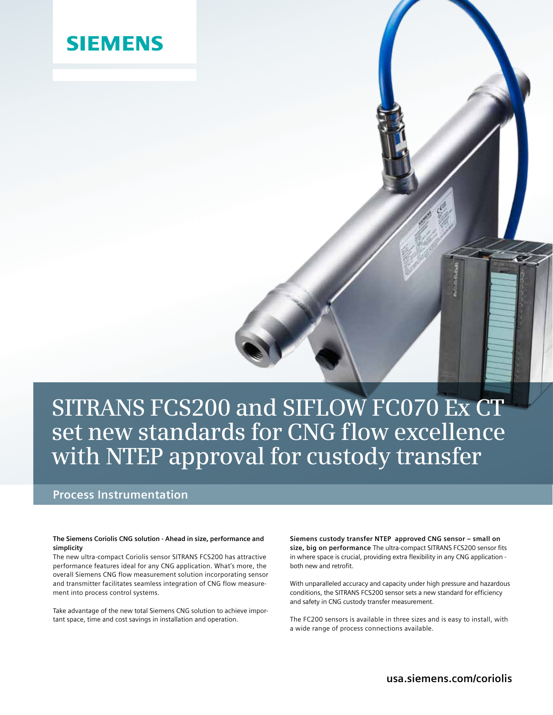## **SIEMENS**

# **SITRANS FCS200 and SIFLOW FC070 Ex CT set new standards for CNG flow excellence with NTEP approval for custody transfer**

### **Process Instrumentation**

#### **The Siemens Coriolis CNG solution - Ahead in size, performance and simplicity**

The new ultra-compact Coriolis sensor SITRANS FCS200 has attractive performance features ideal for any CNG application. What's more, the overall Siemens CNG flow measurement solution incorporating sensor and transmitter facilitates seamless integration of CNG flow measurement into process control systems.

Take advantage of the new total Siemens CNG solution to achieve important space, time and cost savings in installation and operation.

**Siemens custody transfer NTEP approved CNG sensor – small on size, big on performance** The ultra-compact SITRANS FCS200 sensor fits in where space is crucial, providing extra flexibility in any CNG application both new and retrofit.

With unparalleled accuracy and capacity under high pressure and hazardous conditions, the SITRANS FCS200 sensor sets a new standard for efficiency and safety in CNG custody transfer measurement.

The FC200 sensors is available in three sizes and is easy to install, with a wide range of process connections available.